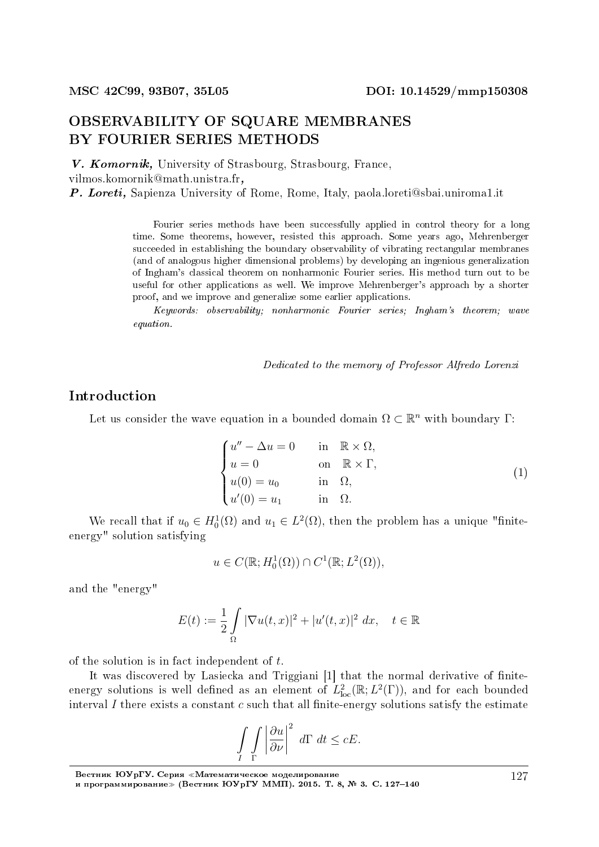## OBSERVABILITY OF SQUARE MEMBRANES BY FOURIER SERIES METHODS

V. Komornik, University of Strasbourg, Strasbourg, France, vilmos.komornik@math.unistra.fr, P. Loreti, Sapienza University of Rome, Rome, Italy, paola.loreti@sbai.uniroma1.it

> Fourier series methods have been successfully applied in control theory for a long time. Some theorems, however, resisted this approach. Some years ago, Mehrenberger succeeded in establishing the boundary observability of vibrating rectangular membranes (and of analogous higher dimensional problems) by developing an ingenious generalization of Ingham's classical theorem on nonharmonic Fourier series. His method turn out to be useful for other applications as well. We improve Mehrenberger's approach by a shorter proof, and we improve and generalize some earlier applications.

> Keywords: observability; nonharmonic Fourier series; Ingham's theorem; wave equation.

> > Dedicated to the memory of Professor Alfredo Lorenzi

## Introduction

Let us consider the wave equation in a bounded domain  $\Omega \subset \mathbb{R}^n$  with boundary  $\Gamma$ :

$$
\begin{cases}\nu'' - \Delta u = 0 & \text{in } \mathbb{R} \times \Omega, \\
u = 0 & \text{on } \mathbb{R} \times \Gamma, \\
u(0) = u_0 & \text{in } \Omega, \\
u'(0) = u_1 & \text{in } \Omega.\n\end{cases}
$$
\n(1)

We recall that if  $u_0 \in H_0^1(\Omega)$  and  $u_1 \in L^2(\Omega)$ , then the problem has a unique "finiteenergy" solution satisfying

$$
u \in C(\mathbb{R}; H_0^1(\Omega)) \cap C^1(\mathbb{R}; L^2(\Omega)),
$$

and the "energy"

$$
E(t) := \frac{1}{2} \int_{\Omega} |\nabla u(t, x)|^2 + |u'(t, x)|^2 \, dx, \quad t \in \mathbb{R}
$$

of the solution is in fact independent of *t*.

It was discovered by Lasiecka and Triggiani [1] that the normal derivative of finiteenergy solutions is well defined as an element of  $L^2_{\text{loc}}(\mathbb{R};L^2(\Gamma))$ , and for each bounded interval  $I$  there exists a constant  $c$  such that all finite-energy solutions satisfy the estimate

$$
\int\limits_I \int\limits_{\Gamma} \left|\frac{\partial u}{\partial \nu}\right|^2 d\Gamma dt \leq cE.
$$

Вестник ЮУрГУ. Серия «Математическое моделирование и программирование≫ (Вестник ЮУрГУ ММП). 2015. T. 8, № 3. C. 127-140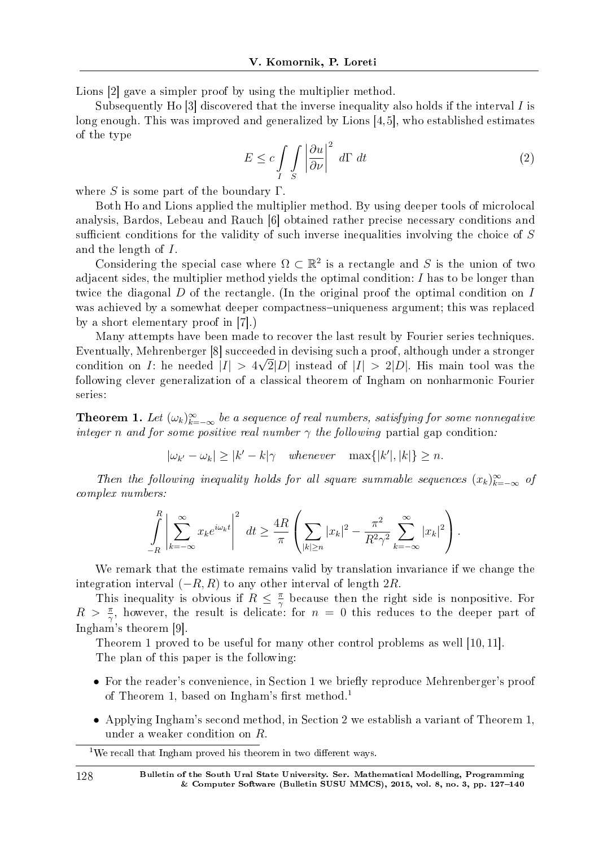Lions [2] gave a simpler proof by using the multiplier method.

Subsequently Ho [3] discovered that the inverse inequality also holds if the interval *I* is long enough. This was improved and generalized by Lions [4,5], who established estimates of the type

$$
E \le c \int\limits_I \int\limits_S \left| \frac{\partial u}{\partial \nu} \right|^2 d\Gamma dt \tag{2}
$$

where *S* is some part of the boundary Γ.

Both Ho and Lions applied the multiplier method. By using deeper tools of microlocal analysis, Bardos, Lebeau and Rauch [6] obtained rather precise necessary conditions and sufficient conditions for the validity of such inverse inequalities involving the choice of S and the length of *I*.

Considering the special case where  $\Omega \subset \mathbb{R}^2$  is a rectangle and *S* is the union of two adjacent sides, the multiplier method yields the optimal condition: *I* has to be longer than twice the diagonal *D* of the rectangle. (In the original proof the optimal condition on *I* was achieved by a somewhat deeper compactness-uniqueness argument; this was replaced by a short elementary proof in [7].)

Many attempts have been made to recover the last result by Fourier series techniques. Eventually, Mehrenberger [8] succeeded in devising such a proof, although under a stronger *√* condition on *I*: he needed  $|I| > 4\sqrt{2}|D|$  instead of  $|I| > 2|D|$ . His main tool was the following clever generalization of a classical theorem of Ingham on nonharmonic Fourier series:

**Theorem 1.** Let  $(\omega_k)_{k=-\infty}^{\infty}$  be a sequence of real numbers, satisfying for some nonnegative integer *n* and for some positive real number  $\gamma$  the following partial gap condition:

 $|\omega_{k'} - \omega_k| \ge |k' - k|\gamma$  whenever  $\max\{|k'|, |k|\} \ge n$ .

Then the following inequality holds for all square summable sequences  $(x_k)_{k=-\infty}^{\infty}$  of complex numbers:

$$
\int\limits_{-R}^{R} \left| \sum\limits_{k=-\infty}^{\infty} x_k e^{i\omega_k t} \right|^2 dt \geq \frac{4R}{\pi} \left( \sum\limits_{|k| \geq n} |x_k|^2 - \frac{\pi^2}{R^2 \gamma^2} \sum\limits_{k=-\infty}^{\infty} |x_k|^2 \right).
$$

We remark that the estimate remains valid by translation invariance if we change the integration interval (*−R, R*) to any other interval of length 2*R*.

This inequality is obvious if  $R \leq \frac{\pi}{2}$  $\frac{\pi}{\gamma}$  because then the right side is nonpositive. For  $R > \frac{\pi}{\gamma}$ , however, the result is delicate: for  $n = 0$  this reduces to the deeper part of Ingham's theorem [9].

Theorem 1 proved to be useful for many other control problems as well [10, 11]. The plan of this paper is the following:

- For the reader's convenience, in Section 1 we briefly reproduce Mehrenberger's proof of Theorem 1, based on Ingham's first method.<sup>1</sup>
- *•* Applying Ingham's second method, in Section 2 we establish a variant of Theorem 1, under a weaker condition on *R*.

<sup>&</sup>lt;sup>1</sup>We recall that Ingham proved his theorem in two different ways.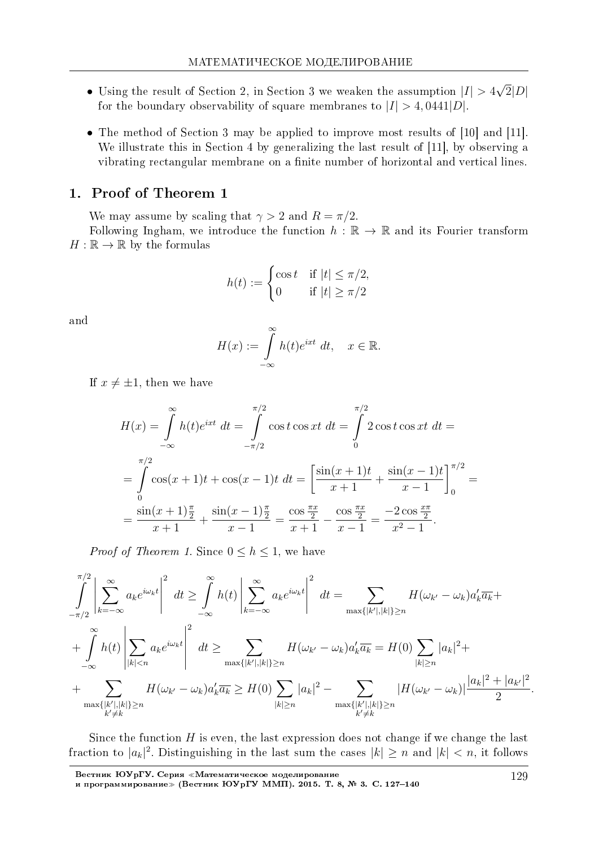- *•* Using the result of Section 2, in Section 3 we weaken the assumption *|I| >* 4 *√*  $2|D|$ for the boundary observability of square membranes to  $|I| > 4$ , 0441 $|D|$ .
- The method of Section 3 may be applied to improve most results of [10] and [11]. We illustrate this in Section 4 by generalizing the last result of [11], by observing a vibrating rectangular membrane on a finite number of horizontal and vertical lines.

### 1. Proof of Theorem 1

We may assume by scaling that  $\gamma > 2$  and  $R = \pi/2$ .

Following Ingham, we introduce the function  $h : \mathbb{R} \to \mathbb{R}$  and its Fourier transform  $H:\mathbb{R}\to\mathbb{R}$  by the formulas

$$
h(t) := \begin{cases} \cos t & \text{if } |t| \le \pi/2, \\ 0 & \text{if } |t| \ge \pi/2 \end{cases}
$$

and

$$
H(x) := \int_{-\infty}^{\infty} h(t)e^{ixt} dt, \quad x \in \mathbb{R}.
$$

If  $x \neq \pm 1$ , then we have

$$
H(x) = \int_{-\infty}^{\infty} h(t)e^{ixt} dt = \int_{-\pi/2}^{\pi/2} \cos t \cos xt dt = \int_{0}^{\pi/2} 2 \cos t \cos xt dt =
$$
  

$$
= \int_{0}^{\pi/2} \cos(x+1)t + \cos(x-1)t dt = \left[\frac{\sin(x+1)t}{x+1} + \frac{\sin(x-1)t}{x-1}\right]_{0}^{\pi/2} =
$$
  

$$
= \frac{\sin(x+1)\frac{\pi}{2}}{x+1} + \frac{\sin(x-1)\frac{\pi}{2}}{x-1} = \frac{\cos\frac{\pi x}{2}}{x+1} - \frac{\cos\frac{\pi x}{2}}{x-1} = \frac{-2\cos\frac{\pi x}{2}}{x^2-1}.
$$

*Proof of Theorem 1.* Since  $0 \leq h \leq 1$ , we have

$$
\int_{-\pi/2}^{\pi/2} \left| \sum_{k=-\infty}^{\infty} a_k e^{i\omega_k t} \right|^2 dt \ge \int_{-\infty}^{\infty} h(t) \left| \sum_{k=-\infty}^{\infty} a_k e^{i\omega_k t} \right|^2 dt = \sum_{\max\{|k'|, |k|\} \ge n} H(\omega_{k'} - \omega_k) a'_k \overline{a_k} + \int_{-\infty}^{\infty} h(t) \left| \sum_{|k| < n} a_k e^{i\omega_k t} \right|^2 dt \ge \sum_{\max\{|k'|, |k|\} \ge n} H(\omega_{k'} - \omega_k) a'_k \overline{a_k} = H(0) \sum_{|k| \ge n} |a_k|^2 + \sum_{\max\{|k'|, |k|\} \ge n} H(\omega_{k'} - \omega_k) a'_k \overline{a_k} \ge H(0) \sum_{|k| \ge n} |a_k|^2 - \sum_{\substack{\max\{|k'|, |k|\} \ge n} |H(\omega_{k'} - \omega_k)|} \frac{|a_k|^2 + |a_{k'}|^2}{2}.
$$

Since the function *H* is even, the last expression does not change if we change the last fraction to  $|a_k|^2$ . Distinguishing in the last sum the cases  $|k| \geq n$  and  $|k| < n$ , it follows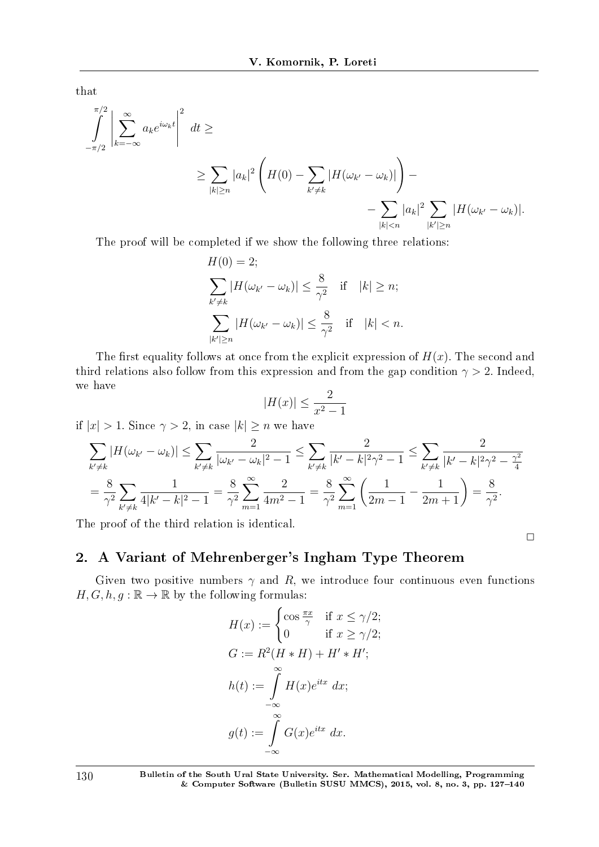that

$$
\int_{-\pi/2}^{\pi/2} \left| \sum_{k=-\infty}^{\infty} a_k e^{i\omega_k t} \right|^2 dt \ge
$$
\n
$$
\ge \sum_{|k| \ge n} |a_k|^2 \left( H(0) - \sum_{k' \ne k} |H(\omega_{k'} - \omega_k)| \right) -
$$
\n
$$
- \sum_{|k| < n} |a_k|^2 \sum_{|k'| \ge n} |H(\omega_{k'} - \omega_k)|.
$$

The proof will be completed if we show the following three relations:

$$
H(0) = 2;
$$
  
\n
$$
\sum_{k' \neq k} |H(\omega_{k'} - \omega_k)| \leq \frac{8}{\gamma^2} \quad \text{if} \quad |k| \geq n;
$$
  
\n
$$
\sum_{|k'| \geq n} |H(\omega_{k'} - \omega_k)| \leq \frac{8}{\gamma^2} \quad \text{if} \quad |k| < n.
$$

The first equality follows at once from the explicit expression of  $H(x)$ . The second and third relations also follow from this expression and from the gap condition  $\gamma > 2$ . Indeed, we have

$$
|H(x)| \le \frac{2}{x^2 - 1}
$$

if  $|x| > 1$ . Since  $\gamma > 2$ , in case  $|k| \geq n$  we have

$$
\sum_{k'\neq k} |H(\omega_{k'} - \omega_k)| \leq \sum_{k'\neq k} \frac{2}{|\omega_{k'} - \omega_k|^2 - 1} \leq \sum_{k'\neq k} \frac{2}{|k' - k|^2 \gamma^2 - 1} \leq \sum_{k'\neq k} \frac{2}{|k' - k|^2 \gamma^2 - \frac{\gamma^2}{4}}
$$

$$
= \frac{8}{\gamma^2} \sum_{k'\neq k} \frac{1}{4|k' - k|^2 - 1} = \frac{8}{\gamma^2} \sum_{m=1}^{\infty} \frac{2}{4m^2 - 1} = \frac{8}{\gamma^2} \sum_{m=1}^{\infty} \left(\frac{1}{2m - 1} - \frac{1}{2m + 1}\right) = \frac{8}{\gamma^2}.
$$

The proof of the third relation is identical.

## 2. A Variant of Mehrenberger's Ingham Type Theorem

Given two positive numbers  $\gamma$  and R, we introduce four continuous even functions  $H,G,h,g:\mathbb{R}\rightarrow\mathbb{R}$  by the following formulas:

 $\Box$ 

$$
H(x) := \begin{cases} \cos \frac{\pi x}{\gamma} & \text{if } x \le \gamma/2; \\ 0 & \text{if } x \ge \gamma/2; \end{cases}
$$

$$
G := R^2(H * H) + H' * H';
$$

$$
h(t) := \int_{-\infty}^{\infty} H(x)e^{itx} dx;
$$

$$
g(t) := \int_{-\infty}^{\infty} G(x)e^{itx} dx.
$$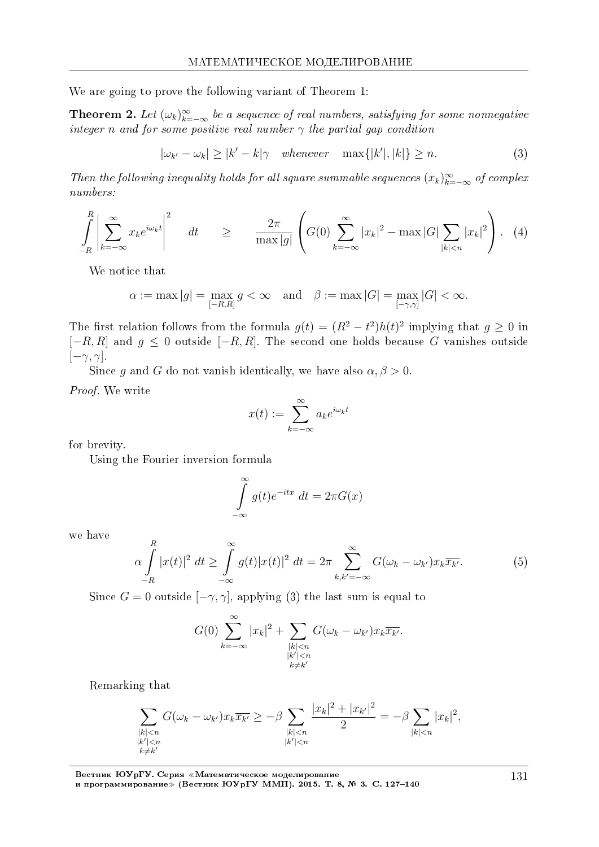We are going to prove the following variant of Theorem 1:

**Theorem 2.** Let  $(\omega_k)_{k=-\infty}^{\infty}$  be a sequence of real numbers, satisfying for some nonnegative integer *n* and for some positive real number  $\gamma$  the partial gap condition

$$
|\omega_{k'} - \omega_k| \ge |k' - k|\gamma \quad whenever \quad \max\{|k'|, |k|\} \ge n. \tag{3}
$$

Then the following inequality holds for all square summable sequences  $(x_k)_{k=-\infty}^{\infty}$  of complex numbers:

$$
\int\limits_{-R}^{R} \left| \sum\limits_{k=-\infty}^{\infty} x_k e^{i\omega_k t} \right|^2 dt \geq \frac{2\pi}{\max|g|} \left( G(0) \sum\limits_{k=-\infty}^{\infty} |x_k|^2 - \max|G| \sum\limits_{|k|< n} |x_k|^2 \right). \tag{4}
$$

We notice that

$$
\alpha := \max |g| = \max_{[-R,R]} g < \infty \quad \text{and} \quad \beta := \max |G| = \max_{[-\gamma,\gamma]} |G| < \infty.
$$

The first relation follows from the formula  $g(t) = (R^2 - t^2)h(t)^2$  implying that  $g \ge 0$  in [*−R, R*] and *g ≤* 0 outside [*−R, R*]. The second one holds because *G* vanishes outside [*−γ, γ*].

Since *g* and *G* do not vanish identically, we have also  $\alpha, \beta > 0$ .

Proof. We write

$$
x(t) := \sum_{k=-\infty}^{\infty} a_k e^{i\omega_k t}
$$

for brevity.

Using the Fourier inversion formula

$$
\int_{-\infty}^{\infty} g(t)e^{-itx} dt = 2\pi G(x)
$$

we have

$$
\alpha \int\limits_{-R}^{R} |x(t)|^2 \, dt \ge \int\limits_{-\infty}^{\infty} g(t) |x(t)|^2 \, dt = 2\pi \sum\limits_{k,k'=-\infty}^{\infty} G(\omega_k - \omega_{k'}) x_k \overline{x_{k'}}.
$$
 (5)

Since  $G = 0$  outside  $[-\gamma, \gamma]$ , applying (3) the last sum is equal to

$$
G(0) \sum_{k=-\infty}^{\infty} |x_k|^2 + \sum_{\substack{|k| < n \\ |k'| < n \\ k \neq k'}} G(\omega_k - \omega_{k'}) x_k \overline{x_{k'}}.
$$

Remarking that

$$
\sum_{\substack{|k|
$$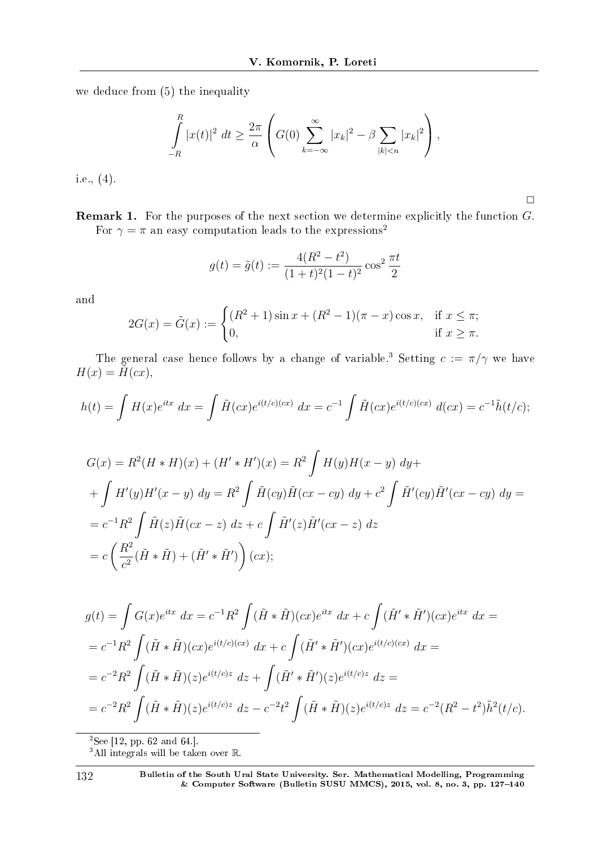we deduce from (5) the inequality

$$
\int_{-R}^{R} |x(t)|^2 dt \ge \frac{2\pi}{\alpha} \left( G(0) \sum_{k=-\infty}^{\infty} |x_k|^2 - \beta \sum_{|k| < n} |x_k|^2 \right),
$$

 $\Box$ 

i.e., (4).

Remark 1. For the purposes of the next section we determine explicitly the function *G*. For  $\gamma = \pi$  an easy computation leads to the expressions<sup>2</sup>

$$
g(t) = \tilde{g}(t) := \frac{4(R^2 - t^2)}{(1 + t)^2 (1 - t)^2} \cos^2 \frac{\pi t}{2}
$$

and

$$
2G(x) = \tilde{G}(x) := \begin{cases} (R^2 + 1)\sin x + (R^2 - 1)(\pi - x)\cos x, & \text{if } x \le \pi; \\ 0, & \text{if } x \ge \pi. \end{cases}
$$

The general case hence follows by a change of variable.<sup>3</sup> Setting  $c := \pi/\gamma$  we have  $H(x) = \tilde{H}(cx),$ 

$$
h(t) = \int H(x)e^{itx} dx = \int \tilde{H}(cx)e^{i(t/c)(cx)} dx = c^{-1} \int \tilde{H}(cx)e^{i(t/c)(cx)} d(cx) = c^{-1}\tilde{h}(t/c);
$$

$$
G(x) = R^2(H * H)(x) + (H' * H')(x) = R^2 \int H(y)H(x - y) dy +
$$
  
+ 
$$
\int H'(y)H'(x - y) dy = R^2 \int \tilde{H}(cy)\tilde{H}(cx - cy) dy + c^2 \int \tilde{H}'(cy)\tilde{H}'(cx - cy) dy =
$$
  
= 
$$
c^{-1}R^2 \int \tilde{H}(z)\tilde{H}(cx - z) dz + c \int \tilde{H}'(z)\tilde{H}'(cx - z) dz
$$
  
= 
$$
c \left(\frac{R^2}{c^2}(\tilde{H} * \tilde{H}) + (\tilde{H}' * \tilde{H}')\right)(cx);
$$

$$
g(t) = \int G(x)e^{itx} dx = c^{-1}R^2 \int (\tilde{H} * \tilde{H})(cx)e^{itx} dx + c \int (\tilde{H}' * \tilde{H}') (cx)e^{itx} dx =
$$
  
\n
$$
= c^{-1}R^2 \int (\tilde{H} * \tilde{H})(cx)e^{i(t/c)(cx)} dx + c \int (\tilde{H}' * \tilde{H}') (cx)e^{i(t/c)(cx)} dx =
$$
  
\n
$$
= c^{-2}R^2 \int (\tilde{H} * \tilde{H})(z)e^{i(t/c)z} dz + \int (\tilde{H}' * \tilde{H}') (z)e^{i(t/c)z} dz =
$$
  
\n
$$
= c^{-2}R^2 \int (\tilde{H} * \tilde{H})(z)e^{i(t/c)z} dz - c^{-2}t^2 \int (\tilde{H} * \tilde{H})(z)e^{i(t/c)z} dz = c^{-2}(R^2 - t^2)\tilde{h}^2(t/c).
$$

<sup>2</sup>See [12, pp. 62 and 64.].

<sup>3</sup>All integrals will be taken over R.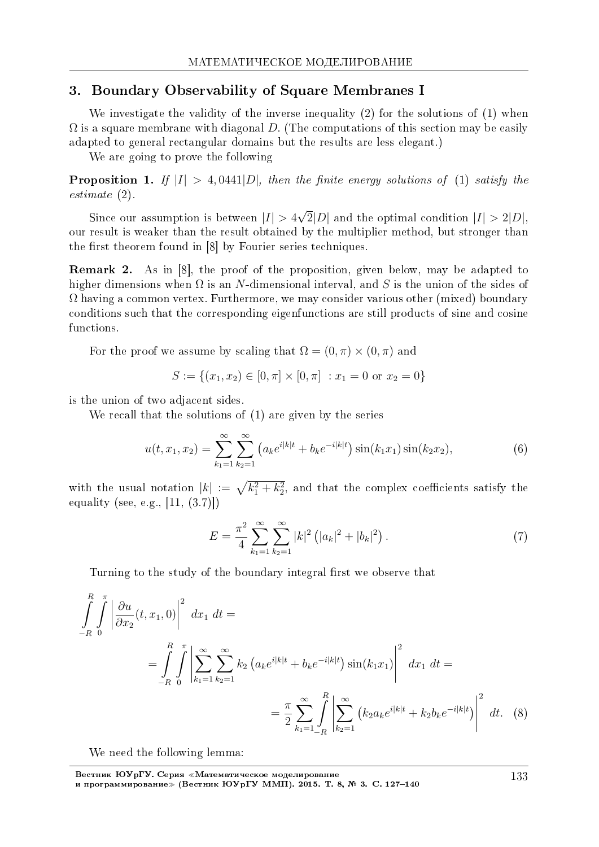#### 3. Boundary Observability of Square Membranes I

We investigate the validity of the inverse inequality (2) for the solutions of (1) when  $\Omega$  is a square membrane with diagonal *D*. (The computations of this section may be easily adapted to general rectangular domains but the results are less elegant.)

We are going to prove the following

**Proposition 1.** If  $|I| > 4,0441|D|$ , then the finite energy solutions of (1) satisfy the estimate (2).

Since our assumption is between  $|I| > 4$ *√*  $2|D|$  and the optimal condition  $|I| > 2|D|$ , our result is weaker than the result obtained by the multiplier method, but stronger than the first theorem found in  $[8]$  by Fourier series techniques.

Remark 2. As in [8], the proof of the proposition, given below, may be adapted to higher dimensions when Ω is an *N*-dimensional interval, and *S* is the union of the sides of  $\Omega$  having a common vertex. Furthermore, we may consider various other (mixed) boundary conditions such that the corresponding eigenfunctions are still products of sine and cosine functions.

For the proof we assume by scaling that  $\Omega = (0, \pi) \times (0, \pi)$  and

$$
S := \{(x_1, x_2) \in [0, \pi] \times [0, \pi] : x_1 = 0 \text{ or } x_2 = 0\}
$$

is the union of two adjacent sides.

We recall that the solutions of (1) are given by the series

$$
u(t, x_1, x_2) = \sum_{k_1=1}^{\infty} \sum_{k_2=1}^{\infty} \left( a_k e^{i|k|t} + b_k e^{-i|k|t} \right) \sin(k_1 x_1) \sin(k_2 x_2), \tag{6}
$$

with the usual notation  $|k| := \sqrt{k_1^2 + k_2^2}$ , and that the complex coefficients satisfy the equality (see, e.g., [11, (3.7)])

$$
E = \frac{\pi^2}{4} \sum_{k_1=1}^{\infty} \sum_{k_2=1}^{\infty} |k|^2 \left( |a_k|^2 + |b_k|^2 \right).
$$
 (7)

Turning to the study of the boundary integral first we observe that

$$
\int_{-R}^{R} \int_{0}^{\pi} \left| \frac{\partial u}{\partial x_{2}}(t, x_{1}, 0) \right|^{2} dx_{1} dt =
$$
\n
$$
= \int_{-R}^{R} \int_{0}^{\pi} \left| \sum_{k_{1}=1}^{\infty} \sum_{k_{2}=1}^{\infty} k_{2} \left( a_{k} e^{i|k|t} + b_{k} e^{-i|k|t} \right) \sin(k_{1} x_{1}) \right|^{2} dx_{1} dt =
$$
\n
$$
= \frac{\pi}{2} \sum_{k_{1}=1}^{\infty} \int_{-R}^{R} \left| \sum_{k_{2}=1}^{\infty} \left( k_{2} a_{k} e^{i|k|t} + k_{2} b_{k} e^{-i|k|t} \right) \right|^{2} dt. \tag{8}
$$

We need the following lemma:

Вестник ЮУрГУ. Серия «Математическое моделирование и программирование≫ (Вестник ЮУрГУ ММП). 2015. Т. 8, № 3. C. 127–140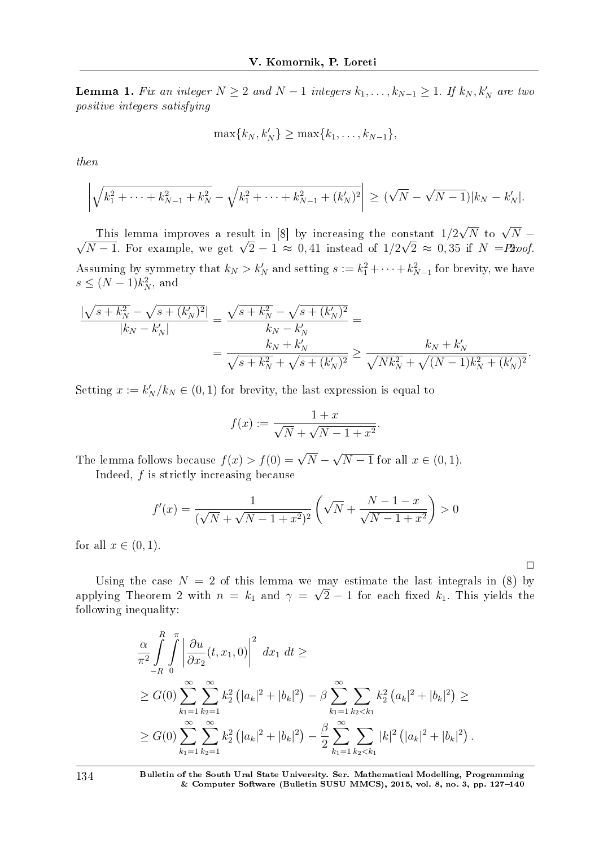**Lemma 1.** Fix an integer  $N \geq 2$  and  $N - 1$  integers  $k_1, \ldots, k_{N-1} \geq 1$ . If  $k_N, k'_N$  are two positive integers satisfying

$$
\max\{k_N,k'_N\}\geq \max\{k_1,\ldots,k_{N-1}\},\
$$

then

$$
\left| \sqrt{k_1^2 + \dots + k_{N-1}^2 + k_N^2} - \sqrt{k_1^2 + \dots + k_{N-1}^2 + (k_N')^2} \right| \geq (\sqrt{N} - \sqrt{N-1})|k_N - k_N'|.
$$

This lemma improves a result in [8] by increasing the constant 1*/*2  $\frac{1}{2}\sqrt{N}$  to  $\sqrt{N}$  − *√N* − 1. For example, we get  $\sqrt{2}$  − 1 ≈ 0,41 instead of  $1/2\sqrt{2}$  ≈ 0,35 if *N* = Proof. Assuming by symmetry that  $k_N > k'_N$  and setting  $s := k_1^2 + \cdots + k_{N-1}^2$  for brevity, we have  $s \leq (N-1)k_N^2$ , and

$$
\frac{|\sqrt{s+k_N^2} - \sqrt{s+(k_N')^2}|}{|k_N - k_N'|} = \frac{\sqrt{s+k_N^2} - \sqrt{s+(k_N')^2}}{k_N - k_N'} =
$$
  
= 
$$
\frac{k_N + k_N'}{\sqrt{s+k_N^2} + \sqrt{s+(k_N')^2}} \ge \frac{k_N + k_N'}{\sqrt{Nk_N^2} + \sqrt{(N-1)k_N^2 + (k_N')^2}}.
$$

Setting  $x := k'_{N}/k_{N} \in (0,1)$  for brevity, the last expression is equal to

$$
f(x) := \frac{1+x}{\sqrt{N} + \sqrt{N-1+x^2}}.
$$

The lemma follows because  $f(x) > f(0) = \sqrt{N} - \frac{1}{2}$ *√ N* − 1 for all  $x \in (0, 1)$ .

Indeed, *f* is strictly increasing because

$$
f'(x) = \frac{1}{(\sqrt{N} + \sqrt{N - 1 + x^2})^2} \left( \sqrt{N} + \frac{N - 1 - x}{\sqrt{N - 1 + x^2}} \right) > 0
$$

for all  $x \in (0, 1)$ .

 $\Box$ 

Using the case  $N = 2$  of this lemma we may estimate the last integrals in (8) by applying Theorem 2 with  $n = k_1$  and  $\gamma = \sqrt{2} - 1$  for each fixed  $k_1$ . This yields the following inequality:

$$
\frac{\alpha}{\pi^2} \int_{-R}^{R} \int_{0}^{\pi} \left| \frac{\partial u}{\partial x_2}(t, x_1, 0) \right|^2 dx_1 dt \ge
$$
\n
$$
\geq G(0) \sum_{k_1=1}^{\infty} \sum_{k_2=1}^{\infty} k_2^2 (|a_k|^2 + |b_k|^2) - \beta \sum_{k_1=1}^{\infty} \sum_{k_2 < k_1} k_2^2 (a_k|^2 + |b_k|^2) \ge
$$
\n
$$
\geq G(0) \sum_{k_1=1}^{\infty} \sum_{k_2=1}^{\infty} k_2^2 (|a_k|^2 + |b_k|^2) - \frac{\beta}{2} \sum_{k_1=1}^{\infty} \sum_{k_2 < k_1} |k|^2 (|a_k|^2 + |b_k|^2).
$$

134 Bulletin of the South Ural State University. Ser. Mathematical Modelling, Programming & Computer Software (Bulletin SUSU MMCS), 2015, vol. 8, no. 3, pp.  $127-140$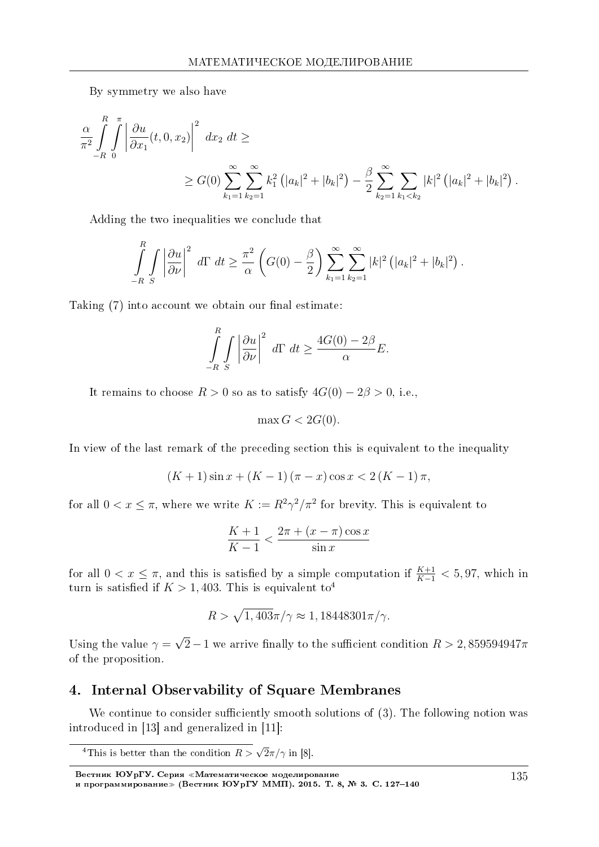By symmetry we also have

$$
\frac{\alpha}{\pi^2} \int_{-R}^{R} \int_{0}^{\pi} \left| \frac{\partial u}{\partial x_1}(t, 0, x_2) \right|^2 dx_2 dt \ge
$$
\n
$$
\geq G(0) \sum_{k_1=1}^{\infty} \sum_{k_2=1}^{\infty} k_1^2 \left( |a_k|^2 + |b_k|^2 \right) - \frac{\beta}{2} \sum_{k_2=1}^{\infty} \sum_{k_1 < k_2} |k|^2 \left( |a_k|^2 + |b_k|^2 \right).
$$

Adding the two inequalities we conclude that

$$
\int_{-R}^R \int \left| \frac{\partial u}{\partial \nu} \right|^2 d\Gamma dt \geq \frac{\pi^2}{\alpha} \left( G(0) - \frac{\beta}{2} \right) \sum_{k_1=1}^{\infty} \sum_{k_2=1}^{\infty} |k|^2 \left( |a_k|^2 + |b_k|^2 \right).
$$

Taking  $(7)$  into account we obtain our final estimate:

$$
\int_{-R}^{R} \int_{S} \left| \frac{\partial u}{\partial \nu} \right|^2 d\Gamma dt \ge \frac{4G(0) - 2\beta}{\alpha} E.
$$

It remains to choose  $R > 0$  so as to satisfy  $4G(0) - 2\beta > 0$ , i.e.,

$$
\max G < 2G(0).
$$

In view of the last remark of the preceding section this is equivalent to the inequality

$$
(K+1)\sin x + (K-1)(\pi - x)\cos x < 2(K-1)\pi,
$$

for all  $0 < x \leq \pi$ , where we write  $K := R^2 \gamma^2 / \pi^2$  for brevity. This is equivalent to

$$
\frac{K+1}{K-1} < \frac{2\pi + (x - \pi)\cos x}{\sin x}
$$

for all  $0 < x \leq \pi$ , and this is satisfied by a simple computation if  $\frac{K+1}{K-1} < 5,97$ , which in turn is satisfied if  $K > 1,403$ . This is equivalent to<sup>4</sup>

$$
R > \sqrt{1,403}\pi/\gamma \approx 1,18448301\pi/\gamma.
$$

Using the value  $\gamma =$ *√*  $(2 - 1$  we arrive finally to the sufficient condition  $R > 2,859594947\pi$ of the proposition.

## 4. Internal Observability of Square Membranes

We continue to consider sufficiently smooth solutions of  $(3)$ . The following notion was introduced in [13] and generalized in [11]:

<sup>&</sup>lt;sup>4</sup>This is better than the condition  $R > \sqrt{2\pi}/\gamma$  in [8].

Вестник ЮУрГУ. Серия «Математическое моделирование и программирование≫ (Вестник ЮУрГУ ММП). 2015. Т. 8, № 3. C. 127–140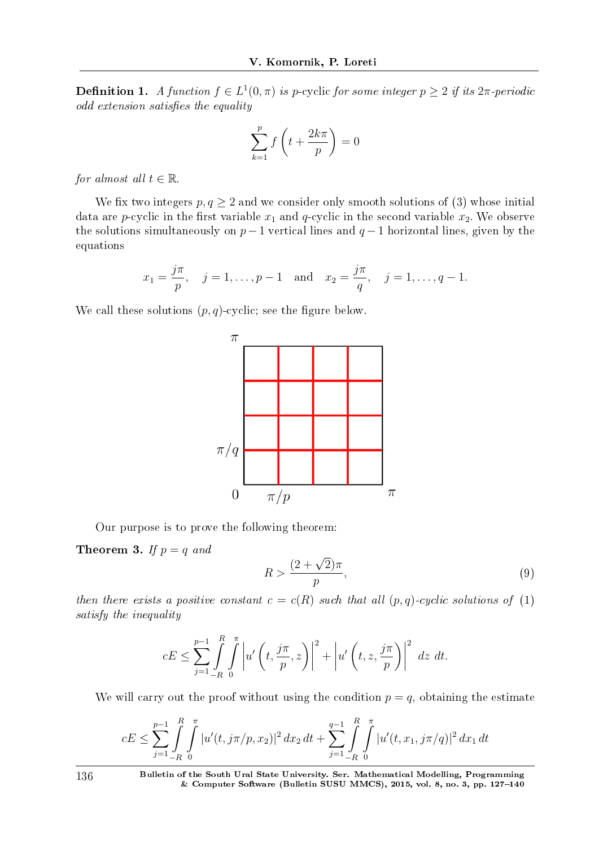**Definition 1.** A function  $f \in L^1(0, \pi)$  is p-cyclic for some integer  $p \geq 2$  if its  $2\pi$ -periodic odd extension satisfies the equality

$$
\sum_{k=1}^{p} f\left(t + \frac{2k\pi}{p}\right) = 0
$$

*for almost all*  $t \in \mathbb{R}$ .

We fix two integers  $p, q \geq 2$  and we consider only smooth solutions of (3) whose initial data are *p*-cyclic in the first variable  $x_1$  and *q*-cyclic in the second variable  $x_2$ . We observe the solutions simultaneously on  $p-1$  vertical lines and  $q-1$  horizontal lines, given by the equations

$$
x_1 = \frac{j\pi}{p}
$$
,  $j = 1, ..., p - 1$  and  $x_2 = \frac{j\pi}{q}$ ,  $j = 1, ..., q - 1$ .

We call these solutions  $(p, q)$ -cyclic; see the figure below.



Our purpose is to prove the following theorem:

**Theorem 3.** If  $p = q$  and

$$
R > \frac{(2+\sqrt{2})\pi}{p},\tag{9}
$$

then there exists a positive constant  $c = c(R)$  such that all  $(p, q)$ -cyclic solutions of (1) satisfy the inequality

$$
cE \le \sum_{j=1}^{p-1} \int\limits_{-R}^{R} \int\limits_{0}^{\pi} \left| u'\left(t, \frac{j\pi}{p}, z\right) \right|^2 + \left| u'\left(t, z, \frac{j\pi}{p}\right) \right|^2 \, dz \, dt.
$$

We will carry out the proof without using the condition  $p = q$ , obtaining the estimate

$$
cE \leq \sum_{j=1}^{p-1} \int\limits_{-R}^{R} \int\limits_{0}^{\pi} |u'(t, j\pi/p, x_2)|^2 dx_2 dt + \sum_{j=1}^{q-1} \int\limits_{-R}^{R} \int\limits_{0}^{\pi} |u'(t, x_1, j\pi/q)|^2 dx_1 dt
$$

136 Bulletin of the South Ural State University. Ser. Mathematical Modelling, Programming  $&$  Computer Software (Bulletin SUSU MMCS), 2015, vol. 8, no. 3, pp. 127-140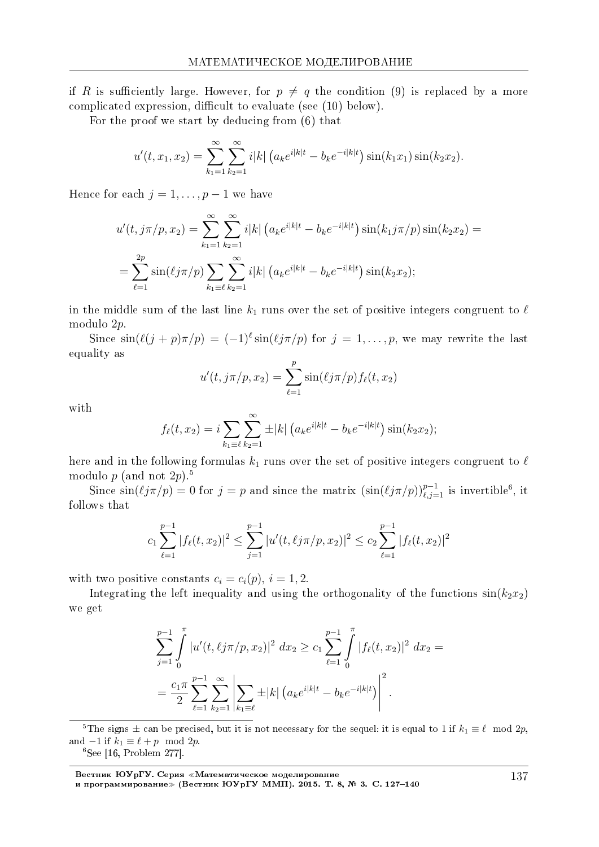if *R* is sufficiently large. However, for  $p \neq q$  the condition (9) is replaced by a more complicated expression, difficult to evaluate (see  $(10)$  below).

For the proof we start by deducing from (6) that

$$
u'(t, x_1, x_2) = \sum_{k_1=1}^{\infty} \sum_{k_2=1}^{\infty} i|k| \left( a_k e^{i|k|t} - b_k e^{-i|k|t} \right) \sin(k_1 x_1) \sin(k_2 x_2).
$$

Hence for each  $j = 1, \ldots, p-1$  we have

$$
u'(t, j\pi/p, x_2) = \sum_{k_1=1}^{\infty} \sum_{k_2=1}^{\infty} i|k| \left( a_k e^{i|k|t} - b_k e^{-i|k|t} \right) \sin(k_1 j\pi/p) \sin(k_2 x_2) =
$$
  
= 
$$
\sum_{\ell=1}^{2p} \sin(\ell j\pi/p) \sum_{k_1 \equiv \ell} \sum_{k_2=1}^{\infty} i|k| \left( a_k e^{i|k|t} - b_k e^{-i|k|t} \right) \sin(k_2 x_2);
$$

in the middle sum of the last line  $k_1$  runs over the set of positive integers congruent to  $\ell$ modulo 2*p*.

Since  $\sin(\ell(j+p)\pi/p) = (-1)^{\ell} \sin(\ell(j\pi/p))$  for  $j = 1, \ldots, p$ , we may rewrite the last equality as

$$
u'(t, j\pi/p, x_2) = \sum_{\ell=1}^p \sin(\ell j\pi/p) f_{\ell}(t, x_2)
$$

with

$$
f_{\ell}(t,x_2) = i \sum_{k_1 \equiv \ell} \sum_{k_2=1}^{\infty} \pm |k| \left( a_k e^{i|k|t} - b_k e^{-i|k|t} \right) \sin(k_2 x_2);
$$

here and in the following formulas  $k_1$  runs over the set of positive integers congruent to  $\ell$ modulo  $p$  (and not  $2p$ ).<sup>5</sup>

Since  $\sin(\ell j\pi/p) = 0$  for  $j = p$  and since the matrix  $(\sin(\ell j\pi/p))_{\ell,j=1}^{p-1}$  is invertible<sup>6</sup>, it follows that

$$
c_1 \sum_{\ell=1}^{p-1} |f_{\ell}(t, x_2)|^2 \le \sum_{j=1}^{p-1} |u'(t, \ell j \pi / p, x_2)|^2 \le c_2 \sum_{\ell=1}^{p-1} |f_{\ell}(t, x_2)|^2
$$

with two positive constants  $c_i = c_i(p)$ ,  $i = 1, 2$ .

Integrating the left inequality and using the orthogonality of the functions  $sin(k_2x_2)$ we get

$$
\sum_{j=1}^{p-1} \int_{0}^{\pi} |u'(t, \ell j \pi / p, x_2)|^2 dx_2 \ge c_1 \sum_{\ell=1}^{p-1} \int_{0}^{\pi} |f_{\ell}(t, x_2)|^2 dx_2 =
$$
  
= 
$$
\frac{c_1 \pi}{2} \sum_{\ell=1}^{p-1} \sum_{k_2=1}^{\infty} \left| \sum_{k_1 \equiv \ell} \pm |k| \left( a_k e^{i|k|t} - b_k e^{-i|k|t} \right) \right|^2.
$$

<sup>5</sup>The signs  $\pm$  can be precised, but it is not necessary for the sequel: it is equal to 1 if  $k_1 \equiv \ell \mod 2p$ , and  $-1$  if  $k_1 \equiv \ell + p \mod 2p$ .

 $6$ See [16, Problem 277].

Вестник ЮУрГУ. Серия «Математическое моделирование и программирование≫ (Вестник ЮУрГУ ММП). 2015. Т. 8, № 3. C. 127–140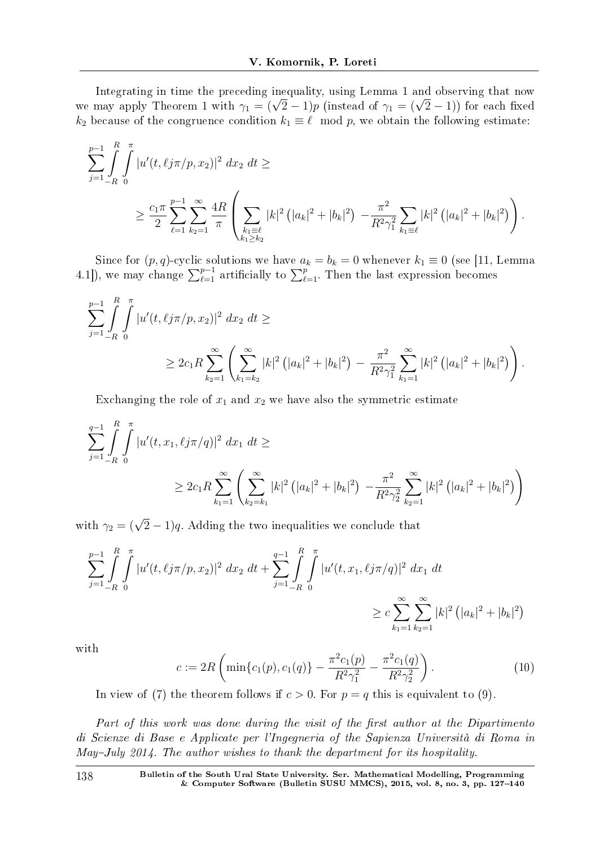Integrating in time the preceding inequality, using Lemma 1 and observing that now integrating in time the preceding inequality, using Lemma 1 and observing that now<br>we may apply Theorem 1 with  $\gamma_1 = (\sqrt{2} - 1)p$  (instead of  $\gamma_1 = (\sqrt{2} - 1)$ ) for each fixed *k*<sub>2</sub> because of the congruence condition  $k_1 \equiv \ell \mod p$ , we obtain the following estimate:

$$
\sum_{j=1}^{p-1} \int_{-R}^{R} \int_{0}^{\pi} |u'(t, \ell j \pi / p, x_2)|^2 dx_2 dt \ge
$$
\n
$$
\geq \frac{c_1 \pi}{2} \sum_{\ell=1}^{p-1} \sum_{k_2=1}^{\infty} \frac{4R}{\pi} \left( \sum_{\substack{k_1 \geq \ell \\ k_1 \geq k_2}} |k|^2 (|a_k|^2 + |b_k|^2) - \frac{\pi^2}{R^2 \gamma_1^2} \sum_{k_1 \geq \ell} |k|^2 (|a_k|^2 + |b_k|^2) \right).
$$

Since for  $(p, q)$ -cyclic solutions we have  $a_k = b_k = 0$  whenever  $k_1 \equiv 0$  (see [11, Lemma 4.1]), we may change  $\sum_{\ell=1}^{p-1}$  artificially to  $\sum_{\ell=1}^{p}$ . Then the last expression becomes

$$
\sum_{j=1}^{p-1} \int_{-R}^{R} \int_{0}^{\pi} |u'(t, \ell j \pi / p, x_2)|^2 dx_2 dt \ge
$$
  
 
$$
\geq 2c_1 R \sum_{k_2=1}^{\infty} \left( \sum_{k_1=k_2}^{\infty} |k|^2 (|a_k|^2 + |b_k|^2) - \frac{\pi^2}{R^2 \gamma_1^2} \sum_{k_1=1}^{\infty} |k|^2 (|a_k|^2 + |b_k|^2) \right).
$$

Exchanging the role of  $x_1$  and  $x_2$  we have also the symmetric estimate

$$
\sum_{j=1}^{q-1} \int_{-R}^{R} \int_{0}^{\pi} |u'(t, x_1, \ell j \pi / q)|^2 dx_1 dt \ge
$$
  
 
$$
\geq 2c_1 R \sum_{k_1=1}^{\infty} \left( \sum_{k_2=k_1}^{\infty} |k|^2 (|a_k|^2 + |b_k|^2) - \frac{\pi^2}{R^2 \gamma_2^2} \sum_{k_2=1}^{\infty} |k|^2 (|a_k|^2 + |b_k|^2) \right)
$$

with  $\gamma_2 = (\sqrt{2} - 1)q$ . Adding the two inequalities we conclude that

$$
\sum_{j=1}^{p-1} \int\limits_{-R}^{R} \int\limits_{0}^{\pi} |u'(t, \ell j \pi / p, x_2)|^2 dx_2 dt + \sum_{j=1}^{q-1} \int\limits_{-R}^{R} \int\limits_{0}^{\pi} |u'(t, x_1, \ell j \pi / q)|^2 dx_1 dt
$$
  

$$
\geq c \sum_{k_1=1}^{\infty} \sum_{k_2=1}^{\infty} |k|^2 (|a_k|^2 + |b_k|^2)
$$

with

$$
c := 2R\left(\min\{c_1(p), c_1(q)\} - \frac{\pi^2 c_1(p)}{R^2 \gamma_1^2} - \frac{\pi^2 c_1(q)}{R^2 \gamma_2^2}\right). \tag{10}
$$

In view of (7) the theorem follows if  $c > 0$ . For  $p = q$  this is equivalent to (9).

Part of this work was done during the visit of the first author at the Dipartimento di Scienze di Base e Applicate per l'Ingegneria of the Sapienza Universita di Roma in May-July 2014. The author wishes to thank the department for its hospitality.

138 Bulletin of the South Ural State University. Ser. Mathematical Modelling, Programming & Computer Software (Bulletin SUSU MMCS), 2015, vol. 8, no. 3, pp.  $127-140$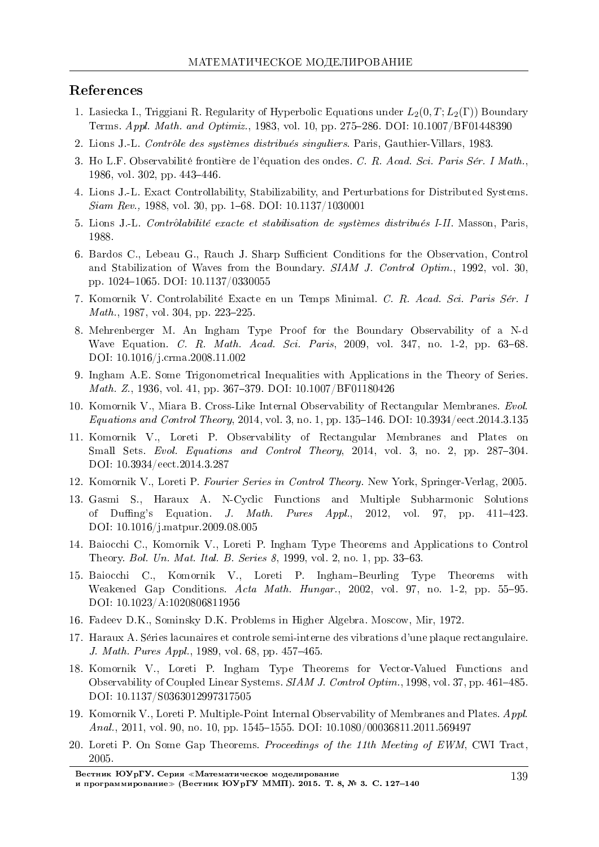#### References

- 1. Lasiecka I., Triggiani R. Regularity of Hyperbolic Equations under *L*2(0*, T*;*L*2(Γ)) Boundary Terms. Appl. Math. and Optimiz., 1983, vol. 10, pp. 275-286. DOI: 10.1007/BF01448390
- 2. Lions J.-L. *Contrôle des systèmes distribués singuliers*. Paris, Gauthier-Villars, 1983.
- 3. Ho L.F. Observabilite frontiere de l'equation des ondes. C. R. Acad. Sci. Paris Ser. I Math., 1986, vol. 302, pp. 443-446.
- 4. Lions J.-L. Exact Controllability, Stabilizability, and Perturbations for Distributed Systems.  $Siam$  Rev., 1988, vol. 30, pp. 1–68. DOI: 10.1137/1030001
- 5. Lions J.-L. Contr*o*ˆlabilite exacte et stabilisation de systemes distribues I-II. Masson, Paris, 1988.
- 6. Bardos C., Lebeau G., Rauch J. Sharp Sufficient Conditions for the Observation, Control and Stabilization of Waves from the Boundary. SIAM J. Control Optim., 1992, vol. 30, pp. 1024-1065. DOI: 10.1137/0330055
- 7. Komornik V. Controlabilite Exacte en un Temps Minimal. C. R. Acad. Sci. Paris Ser. I  $Math., 1987, vol. 304, pp. 223-225.$
- 8. Mehrenberger M. An Ingham Type Proof for the Boundary Observability of a N-d Wave Equation. C. R. Math. Acad. Sci. Paris, 2009, vol. 347, no. 1-2, pp. 63–68. DOI: 10.1016/j.crma.2008.11.002
- 9. Ingham A.E. Some Trigonometrical Inequalities with Applications in the Theory of Series. Math. Z., 1936, vol. 41, pp. 367-379. DOI: 10.1007/BF01180426
- 10. Komornik V., Miara B. Cross-Like Internal Observability of Rectangular Membranes. Evol. Equations and Control Theory, 2014, vol. 3, no. 1, pp.  $135-146$ . DOI:  $10.3934$ /eect.2014.3.135
- 11. Komornik V., Loreti P. Observability of Rectangular Membranes and Plates on Small Sets. Evol. Equations and Control Theory, 2014, vol. 3, no. 2, pp. 287-304. DOI: 10.3934/eect.2014.3.287
- 12. Komornik V., Loreti P. Fourier Series in Control Theory. New York, Springer-Verlag, 2005.
- 13. Gasmi S., Haraux A. N-Cyclic Functions and Multiple Subharmonic Solutions of Duffing's Equation. J. Math. Pures  $Appl, 2012$ , vol. 97, pp. 411-423. DOI: 10.1016/j.matpur.2009.08.005
- 14. Baiocchi C., Komornik V., Loreti P. Ingham Type Theorems and Applications to Control Theory. Bol. Un. Mat. Ital. B. Series 8, 1999, vol. 2, no. 1, pp. 33–63.
- 15. Baiocchi C., Komornik V., Loreti P. Ingham-Beurling Type Theorems with Weakened Gap Conditions.  $Acta$  Math.  $Hungar, 2002$ , vol. 97, no. 1-2, pp. 55–95. DOI: 10.1023/A:1020806811956
- 16. Fadeev D.K., Sominsky D.K. Problems in Higher Algebra. Moscow, Mir, 1972.
- 17. Haraux A. Series lacunaires et controle semi-interne des vibrations d'une plaque rectangulaire. J. Math. Pures  $Appl.$ , 1989, vol. 68, pp. 457–465.
- 18. Komornik V., Loreti P. Ingham Type Theorems for Vector-Valued Functions and Observability of Coupled Linear Systems. SIAM J. Control Optim., 1998, vol. 37, pp. 461–485. DOI: 10.1137/S0363012997317505
- 19. Komornik V., Loreti P. Multiple-Point Internal Observability of Membranes and Plates. Appl. Anal., 2011, vol. 90, no. 10, pp. 1545–1555. DOI:  $10.1080/00036811.2011.569497$
- 20. Loreti P. On Some Gap Theorems. Proceedings of the 11th Meeting of EWM, CWI Tract, 2005.